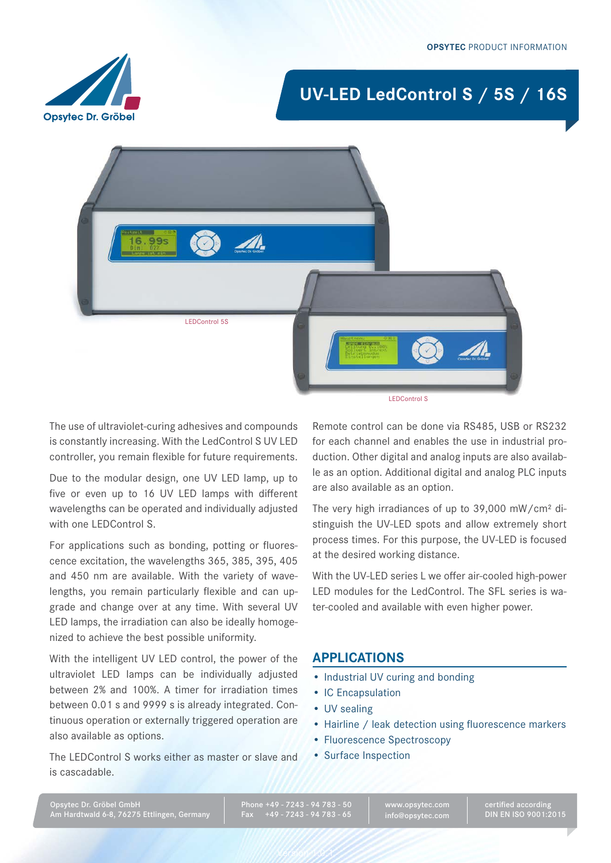# **UV-LED LedControl S / 5S / 16S**





LEDControl S

The use of ultraviolet-curing adhesives and compounds is constantly increasing. With the LedControl S UV LED controller, you remain flexible for future requirements.

Due to the modular design, one UV LED lamp, up to five or even up to 16 UV LED lamps with different wavelengths can be operated and individually adjusted with one LEDControl S.

For applications such as bonding, potting or fluorescence excitation, the wavelengths 365, 385, 395, 405 and 450 nm are available. With the variety of wavelengths, you remain particularly flexible and can upgrade and change over at any time. With several UV LED lamps, the irradiation can also be ideally homogenized to achieve the best possible uniformity.

With the intelligent UV LED control, the power of the ultraviolet LED lamps can be individually adjusted between 2% and 100%. A timer for irradiation times between 0.01 s and 9999 s is already integrated. Continuous operation or externally triggered operation are also available as options.

The LEDControl S works either as master or slave and is cascadable.

Remote control can be done via RS485, USB or RS232 for each channel and enables the use in industrial production. Other digital and analog inputs are also available as an option. Additional digital and analog PLC inputs are also available as an option.

The very high irradiances of up to 39,000 mW/cm² distinguish the UV-LED spots and allow extremely short process times. For this purpose, the UV-LED is focused at the desired working distance.

With the UV-LED series L we offer air-cooled high-power LED modules for the LedControl. The SFL series is water-cooled and available with even higher power.

### **Applications**

- Industrial UV curing and bonding
- IC Encapsulation
- UV sealing
- Hairline / leak detection using fluorescence markers
- • Fluorescence Spectroscopy
- • Surface Inspection

Phone +49 - 7243 - 94 783 - 50 Fax +49 - 7243 - 94 783 - 65

Version 1.0.1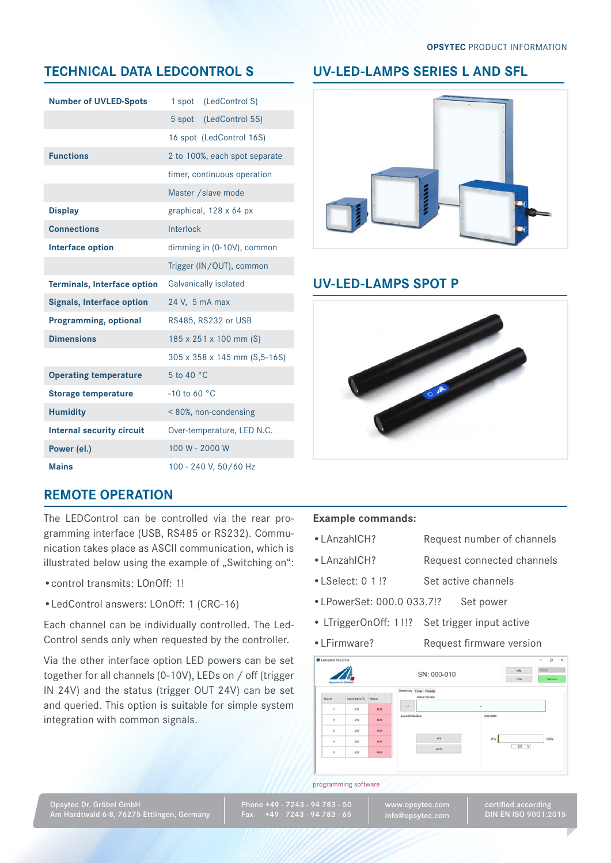# **technicaL Data LEDCONTROL S**

| <b>Number of UVLED-Spots</b>       | (LedControl S)<br>1 spot      |  |
|------------------------------------|-------------------------------|--|
|                                    | 5 spot (LedControl 5S)        |  |
|                                    | 16 spot (LedControl 16S)      |  |
| <b>Functions</b>                   | 2 to 100%, each spot separate |  |
|                                    | timer, continuous operation   |  |
|                                    | Master / slave mode           |  |
| <b>Display</b>                     | graphical, 128 x 64 px        |  |
| <b>Connections</b>                 | Interlock                     |  |
| <b>Interface option</b>            | dimming in (0-10V), common    |  |
|                                    | Trigger (IN/OUT), common      |  |
| <b>Terminals, Interface option</b> | Galvanically isolated         |  |
| <b>Signals, Interface option</b>   | 24 V, 5 mA max                |  |
| <b>Programming, optional</b>       | RS485, RS232 or USB           |  |
| <b>Dimensions</b>                  | 185 x 251 x 100 mm (S)        |  |
|                                    | 305 x 358 x 145 mm (S,5-16S)  |  |
| <b>Operating temperature</b>       | 5 to 40 °C                    |  |
| <b>Storage temperature</b>         | $-10$ to 60 °C                |  |
| <b>Humidity</b>                    | <80%, non-condensing          |  |
| <b>Internal security circuit</b>   | Over-temperature, LED N.C.    |  |
| Power (el.)                        | 100 W - 2000 W                |  |
| <b>Mains</b>                       | 100 - 240 V, 50/60 Hz         |  |

# **UV-LED-LAMPS SerieS L And SFL**



## **UV-LED-LAMPS SpOT P**



# **REMOTE OPERATION**

The LEDControl can be controlled via the rear programming interface (USB, RS485 or RS232). Communication takes place as ASCII communication, which is illustrated below using the example of "Switching on":

- •control transmits: LOnOff: 1!
- •LedControl answers: LOnOff: 1 (CRC-16)

Each channel can be individually controlled. The Led-Control sends only when requested by the controller.

Via the other interface option LED powers can be set together for all channels (0-10V), LEDs on / off (trigger IN 24V) and the status (trigger OUT 24V) can be set and queried. This option is suitable for simple system integration with common signals.

### **Example commands:**

- 
- •LAnzahlCH? Request number of channels
- •LAnzahlCH? Request connected channels
- LSelect: 0 1 !? Set active channels
- •LPowerSet: 000.0 033.7!? Set power
- LTriggerOnOff: 11!? Set trigger input active
- 
- •LFirmware? Request firmware version



#### programming software

Phone +49 - 7243 - 94 783 - 50 Fax +49 - 7243 - 94 783 - 65